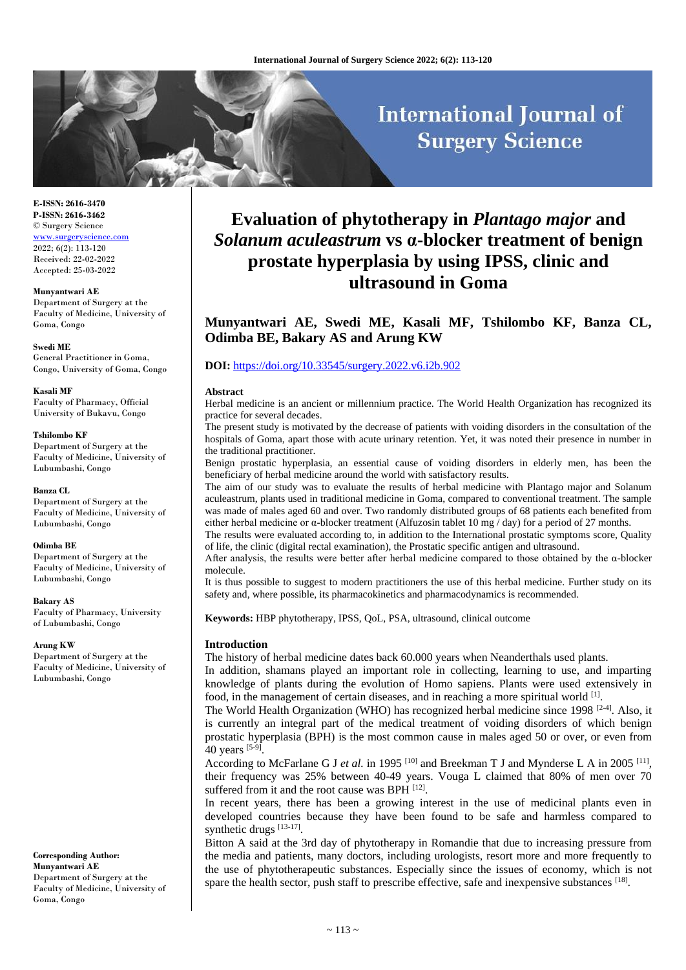# **International Journal of Surgery Science**

**E-ISSN: 2616-3470 P-ISSN: 2616-3462** © Surgery Science <www.surgeryscience.com> 2022; 6(2): 113-120 Received: 22-02-2022 Accepted: 25-03-2022

**Munyantwari AE** Department of Surgery at the Faculty of Medicine, University of Goma, Congo

**Swedi ME** General Practitioner in Goma, Congo, University of Goma, Congo

**Kasali MF** Faculty of Pharmacy, Official University of Bukavu, Congo

#### **Tshilombo KF**

Department of Surgery at the Faculty of Medicine, University of Lubumbashi, Congo

#### **Banza CL**

Department of Surgery at the Faculty of Medicine, University of Lubumbashi, Congo

#### **Odimba BE**

Department of Surgery at the Faculty of Medicine, University of Lubumbashi, Congo

**Bakary AS** Faculty of Pharmacy, University of Lubumbashi, Congo

#### **Arung KW**

Department of Surgery at the Faculty of Medicine, University of Lubumbashi, Congo

**Corresponding Author: Munyantwari AE** Department of Surgery at the Faculty of Medicine, University of Goma, Congo

## **Evaluation of phytotherapy in** *Plantago major* **and**  *Solanum aculeastrum* **vs α-blocker treatment of benign prostate hyperplasia by using IPSS, clinic and ultrasound in Goma**

**Munyantwari AE, Swedi ME, Kasali MF, Tshilombo KF, Banza CL, Odimba BE, Bakary AS and Arung KW**

#### **DOI:** <https://doi.org/10.33545/surgery.2022.v6.i2b.902>

#### **Abstract**

Herbal medicine is an ancient or millennium practice. The World Health Organization has recognized its practice for several decades.

The present study is motivated by the decrease of patients with voiding disorders in the consultation of the hospitals of Goma, apart those with acute urinary retention. Yet, it was noted their presence in number in the traditional practitioner.

Benign prostatic hyperplasia, an essential cause of voiding disorders in elderly men, has been the beneficiary of herbal medicine around the world with satisfactory results.

The aim of our study was to evaluate the results of herbal medicine with Plantago major and Solanum aculeastrum, plants used in traditional medicine in Goma, compared to conventional treatment. The sample was made of males aged 60 and over. Two randomly distributed groups of 68 patients each benefited from either herbal medicine or α-blocker treatment (Alfuzosin tablet 10 mg / day) for a period of 27 months.

The results were evaluated according to, in addition to the International prostatic symptoms score, Quality of life, the clinic (digital rectal examination), the Prostatic specific antigen and ultrasound.

After analysis, the results were better after herbal medicine compared to those obtained by the  $\alpha$ -blocker molecule.

It is thus possible to suggest to modern practitioners the use of this herbal medicine. Further study on its safety and, where possible, its pharmacokinetics and pharmacodynamics is recommended.

**Keywords:** HBP phytotherapy, IPSS, QoL, PSA, ultrasound, clinical outcome

#### **Introduction**

The history of herbal medicine dates back 60.000 years when Neanderthals used plants.

In addition, shamans played an important role in collecting, learning to use, and imparting knowledge of plants during the evolution of Homo sapiens. Plants were used extensively in food, in the management of certain diseases, and in reaching a more spiritual world [1].

The World Health Organization (WHO) has recognized herbal medicine since 1998 [2-4]. Also, it is currently an integral part of the medical treatment of voiding disorders of which benign prostatic hyperplasia (BPH) is the most common cause in males aged 50 or over, or even from 40 years [5-9].

According to McFarlane G J *et al.* in 1995<sup>[10]</sup> and Breekman T J and Mynderse L A in 2005<sup>[11]</sup>, their frequency was 25% between 40-49 years. Vouga L claimed that 80% of men over 70 suffered from it and the root cause was BPH [12].

In recent years, there has been a growing interest in the use of medicinal plants even in developed countries because they have been found to be safe and harmless compared to synthetic drugs [13-17].

Bitton A said at the 3rd day of phytotherapy in Romandie that due to increasing pressure from the media and patients, many doctors, including urologists, resort more and more frequently to the use of phytotherapeutic substances. Especially since the issues of economy, which is not spare the health sector, push staff to prescribe effective, safe and inexpensive substances [18].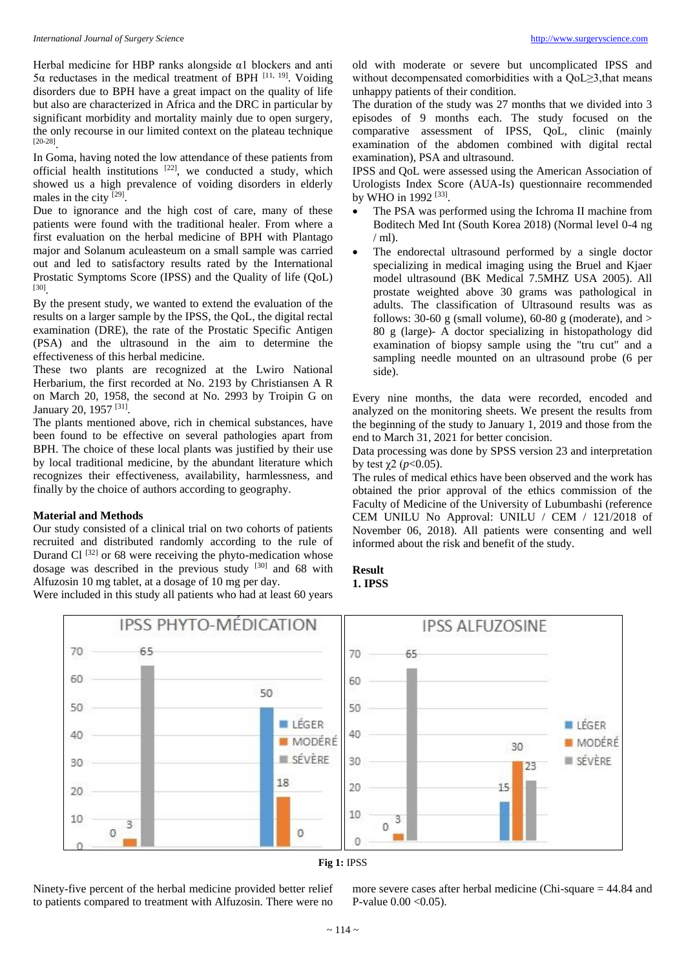Herbal medicine for HBP ranks alongside α1 blockers and anti 5α reductases in the medical treatment of BPH [11, 19]. Voiding disorders due to BPH have a great impact on the quality of life but also are characterized in Africa and the DRC in particular by significant morbidity and mortality mainly due to open surgery, the only recourse in our limited context on the plateau technique [20-28] .

In Goma, having noted the low attendance of these patients from official health institutions  $[22]$ , we conducted a study, which showed us a high prevalence of voiding disorders in elderly males in the city [29].

Due to ignorance and the high cost of care, many of these patients were found with the traditional healer. From where a first evaluation on the herbal medicine of BPH with Plantago major and Solanum aculeasteum on a small sample was carried out and led to satisfactory results rated by the International Prostatic Symptoms Score (IPSS) and the Quality of life (QoL) [30] .

By the present study, we wanted to extend the evaluation of the results on a larger sample by the IPSS, the QoL, the digital rectal examination (DRE), the rate of the Prostatic Specific Antigen (PSA) and the ultrasound in the aim to determine the effectiveness of this herbal medicine.

These two plants are recognized at the Lwiro National Herbarium, the first recorded at No. 2193 by Christiansen A R on March 20, 1958, the second at No. 2993 by Troipin G on January 20, 1957<sup>[31]</sup>.

The plants mentioned above, rich in chemical substances, have been found to be effective on several pathologies apart from BPH. The choice of these local plants was justified by their use by local traditional medicine, by the abundant literature which recognizes their effectiveness, availability, harmlessness, and finally by the choice of authors according to geography.

#### **Material and Methods**

Our study consisted of a clinical trial on two cohorts of patients recruited and distributed randomly according to the rule of Durand Cl <sup>[32]</sup> or 68 were receiving the phyto-medication whose dosage was described in the previous study [30] and 68 with Alfuzosin 10 mg tablet, at a dosage of 10 mg per day.

Were included in this study all patients who had at least 60 years

old with moderate or severe but uncomplicated IPSS and without decompensated comorbidities with a QoL≥3,that means unhappy patients of their condition.

The duration of the study was 27 months that we divided into 3 episodes of 9 months each. The study focused on the comparative assessment of IPSS, QoL, clinic (mainly examination of the abdomen combined with digital rectal examination), PSA and ultrasound.

IPSS and QoL were assessed using the American Association of Urologists Index Score (AUA-Is) questionnaire recommended by WHO in 1992<sup>[33]</sup>.

- The PSA was performed using the Ichroma II machine from Boditech Med Int (South Korea 2018) (Normal level 0-4 ng  $/$  ml).
- The endorectal ultrasound performed by a single doctor specializing in medical imaging using the Bruel and Kjaer model ultrasound (BK Medical 7.5MHZ USA 2005). All prostate weighted above 30 grams was pathological in adults. The classification of Ultrasound results was as follows: 30-60 g (small volume), 60-80 g (moderate), and  $>$ 80 g (large)- A doctor specializing in histopathology did examination of biopsy sample using the "tru cut" and a sampling needle mounted on an ultrasound probe (6 per side).

Every nine months, the data were recorded, encoded and analyzed on the monitoring sheets. We present the results from the beginning of the study to January 1, 2019 and those from the end to March 31, 2021 for better concision.

Data processing was done by SPSS version 23 and interpretation by test  $\chi^2$  ( $p < 0.05$ ).

The rules of medical ethics have been observed and the work has obtained the prior approval of the ethics commission of the Faculty of Medicine of the University of Lubumbashi (reference CEM UNILU No Approval: UNILU / CEM / 121/2018 of November 06, 2018). All patients were consenting and well informed about the risk and benefit of the study.

#### **Result 1. IPSS**



## **Fig 1:** IPSS

Ninety-five percent of the herbal medicine provided better relief to patients compared to treatment with Alfuzosin. There were no

more severe cases after herbal medicine (Chi-square = 44.84 and P-value 0.00 <0.05).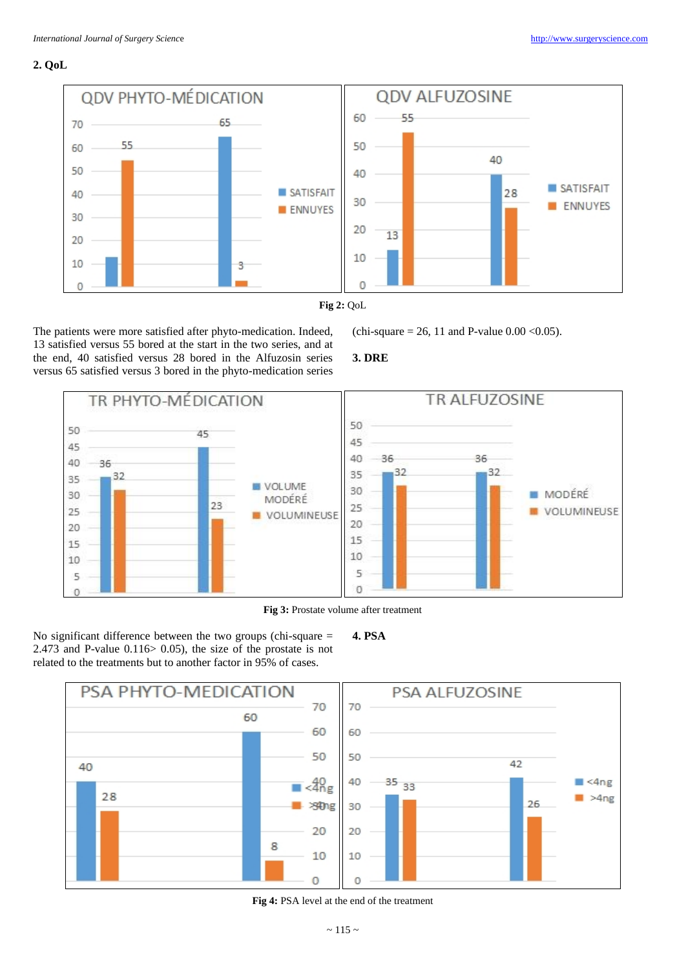## **2. QoL**



The patients were more satisfied after phyto-medication. Indeed, 13 satisfied versus 55 bored at the start in the two series, and at the end, 40 satisfied versus 28 bored in the Alfuzosin series versus 65 satisfied versus 3 bored in the phyto-medication series (chi-square = 26, 11 and P-value  $0.00 < 0.05$ ).

## **3. DRE**



**Fig 3:** Prostate volume after treatment

**4. PSA**

No significant difference between the two groups (chi-square = 2.473 and P-value  $0.116$  > 0.05), the size of the prostate is not related to the treatments but to another factor in 95% of cases.



### **Fig 4:** PSA level at the end of the treatment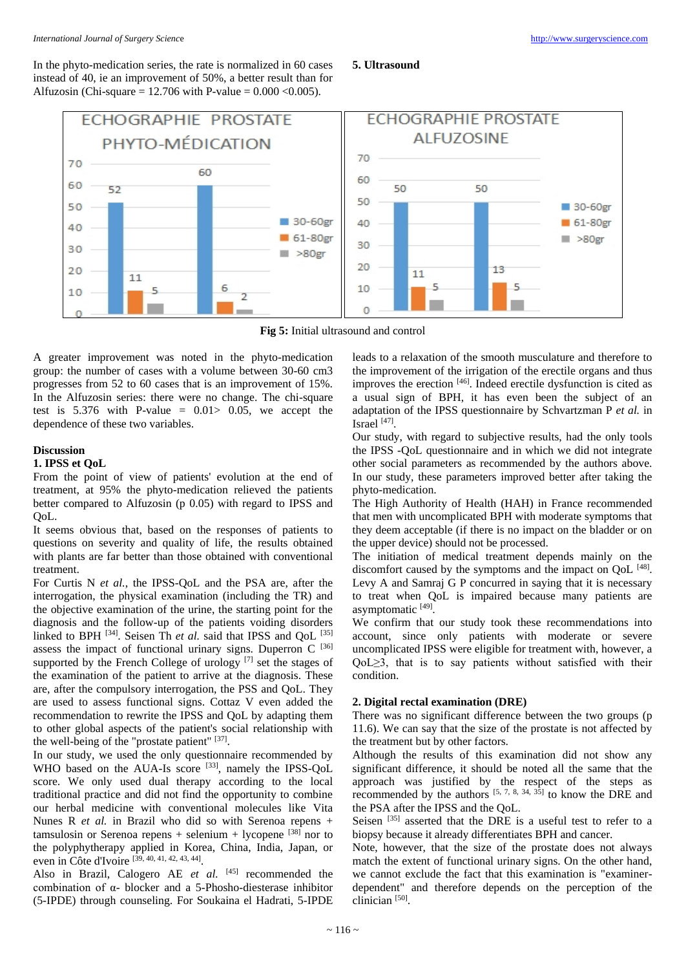In the phyto-medication series, the rate is normalized in 60 cases instead of 40, ie an improvement of 50%, a better result than for Alfuzosin (Chi-square = 12.706 with P-value =  $0.000 \le 0.005$ ).

#### **5. Ultrasound**



**Fig 5:** Initial ultrasound and control

A greater improvement was noted in the phyto-medication group: the number of cases with a volume between 30-60 cm3 progresses from 52 to 60 cases that is an improvement of 15%. In the Alfuzosin series: there were no change. The chi-square test is  $5.376$  with P-value =  $0.01 > 0.05$ , we accept the dependence of these two variables.

## **Discussion**

## **1. IPSS et QoL**

From the point of view of patients' evolution at the end of treatment, at 95% the phyto-medication relieved the patients better compared to Alfuzosin (p 0.05) with regard to IPSS and QoL.

It seems obvious that, based on the responses of patients to questions on severity and quality of life, the results obtained with plants are far better than those obtained with conventional treatment.

For Curtis N *et al.*, the IPSS-QoL and the PSA are, after the interrogation, the physical examination (including the TR) and the objective examination of the urine, the starting point for the diagnosis and the follow-up of the patients voiding disorders linked to BPH <sup>[34]</sup>. Seisen Th et al. said that IPSS and QoL <sup>[35]</sup> assess the impact of functional urinary signs. Duperron C [36] supported by the French College of urology  $[7]$  set the stages of the examination of the patient to arrive at the diagnosis. These are, after the compulsory interrogation, the PSS and QoL. They are used to assess functional signs. Cottaz V even added the recommendation to rewrite the IPSS and QoL by adapting them to other global aspects of the patient's social relationship with the well-being of the "prostate patient" [37].

In our study, we used the only questionnaire recommended by WHO based on the AUA-Is score [33], namely the IPSS-QoL score. We only used dual therapy according to the local traditional practice and did not find the opportunity to combine our herbal medicine with conventional molecules like Vita Nunes R *et al.* in Brazil who did so with Serenoa repens + tamsulosin or Serenoa repens  $+$  selenium  $+$  lycopene [38] nor to the polyphytherapy applied in Korea, China, India, Japan, or even in Côte d'Ivoire [39, 40, 41, 42, 43, 44].

Also in Brazil, Calogero AE et al. [45] recommended the combination of α- blocker and a 5-Phosho-diesterase inhibitor (5-IPDE) through counseling. For Soukaina el Hadrati, 5-IPDE

leads to a relaxation of the smooth musculature and therefore to the improvement of the irrigation of the erectile organs and thus improves the erection [46]. Indeed erectile dysfunction is cited as a usual sign of BPH, it has even been the subject of an adaptation of the IPSS questionnaire by Schvartzman P *et al.* in Israel  $^{[47]}$ .

Our study, with regard to subjective results, had the only tools the IPSS -QoL questionnaire and in which we did not integrate other social parameters as recommended by the authors above. In our study, these parameters improved better after taking the phyto-medication.

The High Authority of Health (HAH) in France recommended that men with uncomplicated BPH with moderate symptoms that they deem acceptable (if there is no impact on the bladder or on the upper device) should not be processed.

The initiation of medical treatment depends mainly on the discomfort caused by the symptoms and the impact on QoL [48]. Levy A and Samraj G P concurred in saying that it is necessary to treat when QoL is impaired because many patients are asymptomatic [49].

We confirm that our study took these recommendations into account, since only patients with moderate or severe uncomplicated IPSS were eligible for treatment with, however, a QoL≥3, that is to say patients without satisfied with their condition.

## **2. Digital rectal examination (DRE)**

There was no significant difference between the two groups (p 11.6). We can say that the size of the prostate is not affected by the treatment but by other factors.

Although the results of this examination did not show any significant difference, it should be noted all the same that the approach was justified by the respect of the steps as recommended by the authors  $[5, 7, 8, 34, 35]$  to know the DRE and the PSA after the IPSS and the QoL.

Seisen <sup>[35]</sup> asserted that the DRE is a useful test to refer to a biopsy because it already differentiates BPH and cancer.

Note, however, that the size of the prostate does not always match the extent of functional urinary signs. On the other hand, we cannot exclude the fact that this examination is "examinerdependent" and therefore depends on the perception of the clinician<sup>[50]</sup>.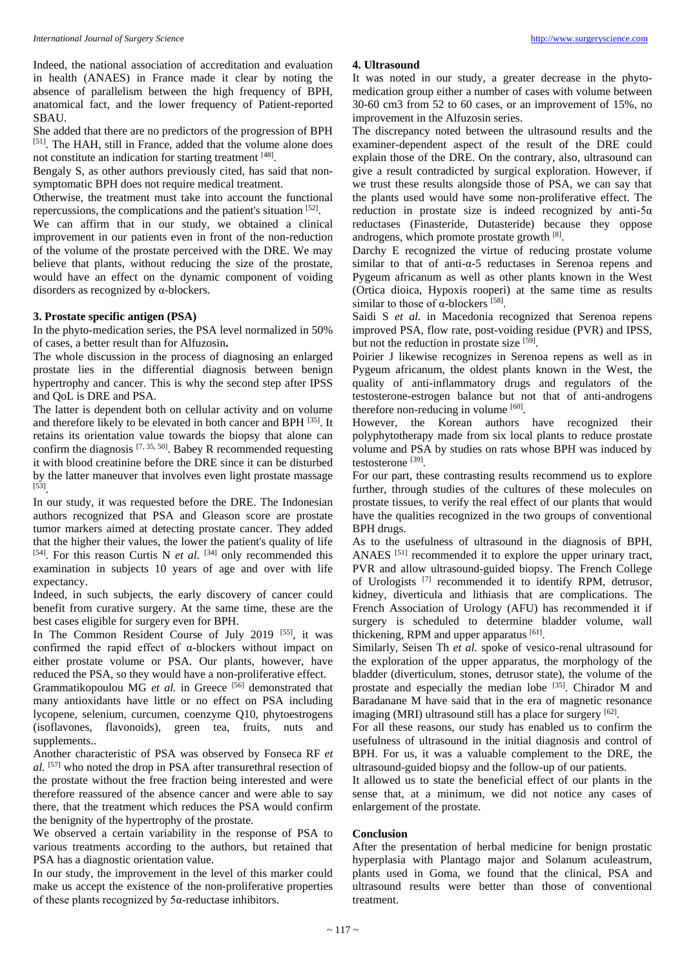Indeed, the national association of accreditation and evaluation in health (ANAES) in France made it clear by noting the absence of parallelism between the high frequency of BPH, anatomical fact, and the lower frequency of Patient-reported SBAU.

She added that there are no predictors of the progression of BPH [51]. The HAH, still in France, added that the volume alone does not constitute an indication for starting treatment [48].

Bengaly S, as other authors previously cited, has said that nonsymptomatic BPH does not require medical treatment.

Otherwise, the treatment must take into account the functional repercussions, the complications and the patient's situation [52].

We can affirm that in our study, we obtained a clinical improvement in our patients even in front of the non-reduction of the volume of the prostate perceived with the DRE. We may believe that plants, without reducing the size of the prostate, would have an effect on the dynamic component of voiding disorders as recognized by α-blockers.

#### **3. Prostate specific antigen (PSA)**

In the phyto-medication series, the PSA level normalized in 50% of cases, a better result than for Alfuzosin**.**

The whole discussion in the process of diagnosing an enlarged prostate lies in the differential diagnosis between benign hypertrophy and cancer. This is why the second step after IPSS and QoL is DRE and PSA.

The latter is dependent both on cellular activity and on volume and therefore likely to be elevated in both cancer and BPH [35]. It retains its orientation value towards the biopsy that alone can confirm the diagnosis  $[7, 35, 50]$ . Babey R recommended requesting it with blood creatinine before the DRE since it can be disturbed by the latter maneuver that involves even light prostate massage [53] .

In our study, it was requested before the DRE. The Indonesian authors recognized that PSA and Gleason score are prostate tumor markers aimed at detecting prostate cancer. They added that the higher their values, the lower the patient's quality of life [54]. For this reason Curtis N *et al.* [34] only recommended this examination in subjects 10 years of age and over with life expectancy.

Indeed, in such subjects, the early discovery of cancer could benefit from curative surgery. At the same time, these are the best cases eligible for surgery even for BPH.

In The Common Resident Course of July 2019 [55], it was confirmed the rapid effect of α-blockers without impact on either prostate volume or PSA. Our plants, however, have reduced the PSA, so they would have a non-proliferative effect.

Grammatikopoulou MG *et al.* in Greece <sup>[56]</sup> demonstrated that many antioxidants have little or no effect on PSA including lycopene, selenium, curcumen, coenzyme Q10, phytoestrogens (isoflavones, flavonoids), green tea, fruits, nuts and supplements..

Another characteristic of PSA was observed by Fonseca RF *et al.* [57] who noted the drop in PSA after transurethral resection of the prostate without the free fraction being interested and were therefore reassured of the absence cancer and were able to say there, that the treatment which reduces the PSA would confirm the benignity of the hypertrophy of the prostate.

We observed a certain variability in the response of PSA to various treatments according to the authors, but retained that PSA has a diagnostic orientation value.

In our study, the improvement in the level of this marker could make us accept the existence of the non-proliferative properties of these plants recognized by 5α-reductase inhibitors.

#### **4. Ultrasound**

It was noted in our study, a greater decrease in the phytomedication group either a number of cases with volume between 30-60 cm3 from 52 to 60 cases, or an improvement of 15%, no improvement in the Alfuzosin series.

The discrepancy noted between the ultrasound results and the examiner-dependent aspect of the result of the DRE could explain those of the DRE. On the contrary, also, ultrasound can give a result contradicted by surgical exploration. However, if we trust these results alongside those of PSA, we can say that the plants used would have some non-proliferative effect. The reduction in prostate size is indeed recognized by anti-5 $\alpha$ reductases (Finasteride, Dutasteride) because they oppose androgens, which promote prostate growth [8] .

Darchy E recognized the virtue of reducing prostate volume similar to that of anti-α-5 reductases in Serenoa repens and Pygeum africanum as well as other plants known in the West (Ortica dioica, Hypoxis rooperi) at the same time as results similar to those of  $\alpha$ -blockers [58].

Saidi S *et al.* in Macedonia recognized that Serenoa repens improved PSA, flow rate, post-voiding residue (PVR) and IPSS, but not the reduction in prostate size [59].

Poirier J likewise recognizes in Serenoa repens as well as in Pygeum africanum, the oldest plants known in the West, the quality of anti-inflammatory drugs and regulators of the testosterone-estrogen balance but not that of anti-androgens therefore non-reducing in volume [60].

However, the Korean authors have recognized their polyphytotherapy made from six local plants to reduce prostate volume and PSA by studies on rats whose BPH was induced by testosterone [39].

For our part, these contrasting results recommend us to explore further, through studies of the cultures of these molecules on prostate tissues, to verify the real effect of our plants that would have the qualities recognized in the two groups of conventional BPH drugs.

As to the usefulness of ultrasound in the diagnosis of BPH, ANAES <sup>[51]</sup> recommended it to explore the upper urinary tract, PVR and allow ultrasound-guided biopsy. The French College of Urologists [7] recommended it to identify RPM, detrusor, kidney, diverticula and lithiasis that are complications. The French Association of Urology (AFU) has recommended it if surgery is scheduled to determine bladder volume, wall thickening, RPM and upper apparatus [61].

Similarly, Seisen Th *et al.* spoke of vesico-renal ultrasound for the exploration of the upper apparatus, the morphology of the bladder (diverticulum, stones, detrusor state), the volume of the prostate and especially the median lobe [35]. Chirador M and Baradanane M have said that in the era of magnetic resonance imaging (MRI) ultrasound still has a place for surgery [62].

For all these reasons, our study has enabled us to confirm the usefulness of ultrasound in the initial diagnosis and control of BPH. For us, it was a valuable complement to the DRE, the ultrasound-guided biopsy and the follow-up of our patients.

It allowed us to state the beneficial effect of our plants in the sense that, at a minimum, we did not notice any cases of enlargement of the prostate.

#### **Conclusion**

After the presentation of herbal medicine for benign prostatic hyperplasia with Plantago major and Solanum aculeastrum, plants used in Goma, we found that the clinical, PSA and ultrasound results were better than those of conventional treatment.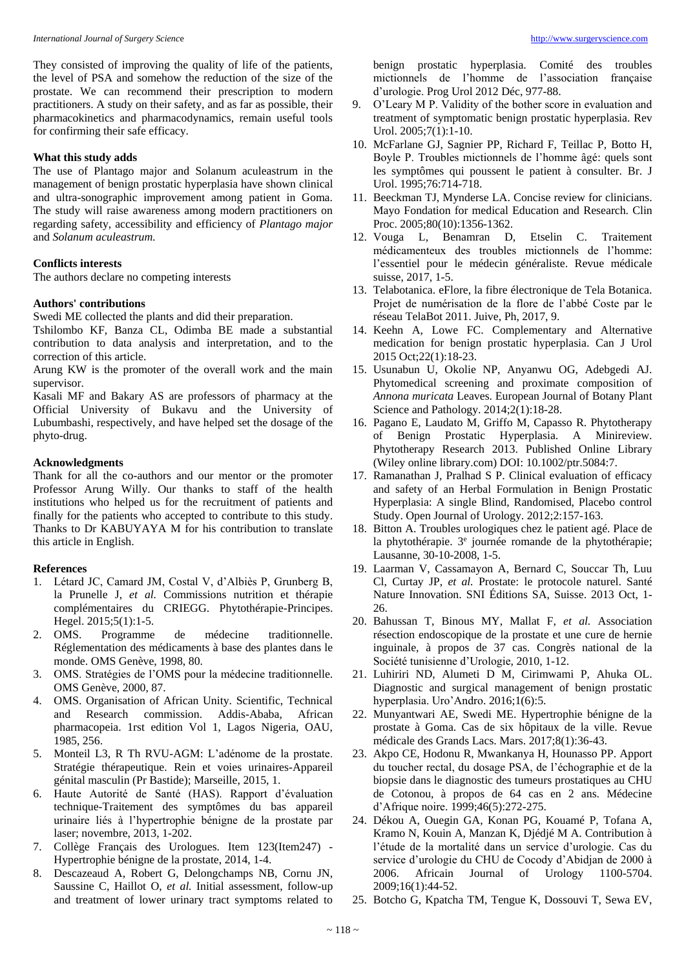They consisted of improving the quality of life of the patients, the level of PSA and somehow the reduction of the size of the prostate. We can recommend their prescription to modern practitioners. A study on their safety, and as far as possible, their pharmacokinetics and pharmacodynamics, remain useful tools for confirming their safe efficacy.

#### **What this study adds**

The use of Plantago major and Solanum aculeastrum in the management of benign prostatic hyperplasia have shown clinical and ultra-sonographic improvement among patient in Goma. The study will raise awareness among modern practitioners on regarding safety, accessibility and efficiency of *Plantago major* and *Solanum aculeastrum.*

#### **Conflicts interests**

The authors declare no competing interests

## **Authors' contributions**

Swedi ME collected the plants and did their preparation.

Tshilombo KF, Banza CL, Odimba BE made a substantial contribution to data analysis and interpretation, and to the correction of this article.

Arung KW is the promoter of the overall work and the main supervisor.

Kasali MF and Bakary AS are professors of pharmacy at the Official University of Bukavu and the University of Lubumbashi, respectively, and have helped set the dosage of the phyto-drug.

#### **Acknowledgments**

Thank for all the co-authors and our mentor or the promoter Professor Arung Willy. Our thanks to staff of the health institutions who helped us for the recruitment of patients and finally for the patients who accepted to contribute to this study. Thanks to Dr KABUYAYA M for his contribution to translate this article in English.

## **References**

- 1. Létard JC, Camard JM, Costal V, d'Albiès P, Grunberg B, la Prunelle J, *et al.* Commissions nutrition et thérapie complémentaires du CRIEGG. Phytothérapie-Principes. Hegel. 2015;5(1):1-5.
- 2. OMS. Programme de médecine traditionnelle. Réglementation des médicaments à base des plantes dans le monde. OMS Genève, 1998, 80.
- 3. OMS. Stratégies de l'OMS pour la médecine traditionnelle. OMS Genève, 2000, 87.
- 4. OMS. Organisation of African Unity. Scientific, Technical and Research commission. Addis-Ababa, African pharmacopeia. 1rst edition Vol 1, Lagos Nigeria, OAU, 1985, 256.
- 5. Monteil L3, R Th RVU-AGM: L'adénome de la prostate. Stratégie thérapeutique. Rein et voies urinaires-Appareil génital masculin (Pr Bastide); Marseille, 2015, 1.
- 6. Haute Autorité de Santé (HAS). Rapport d'évaluation technique-Traitement des symptômes du bas appareil urinaire liés à l'hypertrophie bénigne de la prostate par laser; novembre, 2013, 1-202.
- 7. Collège Français des Urologues. Item 123(Item247) Hypertrophie bénigne de la prostate, 2014, 1-4.
- 8. Descazeaud A, Robert G, Delongchamps NB, Cornu JN, Saussine C, Haillot O, *et al.* Initial assessment, follow-up and treatment of lower urinary tract symptoms related to

benign prostatic hyperplasia. Comité des troubles mictionnels de l'homme de l'association française d'urologie. Prog Urol 2012 Déc, 977-88.

- 9. O'Leary M P. Validity of the bother score in evaluation and treatment of symptomatic benign prostatic hyperplasia. Rev Urol. 2005;7(1):1-10.
- 10. McFarlane GJ, Sagnier PP, Richard F, Teillac P, Botto H, Boyle P. Troubles mictionnels de l'homme âgé: quels sont les symptômes qui poussent le patient à consulter. Br. J Urol. 1995;76:714-718.
- 11. Beeckman TJ, Mynderse LA. Concise review for clinicians. Mayo Fondation for medical Education and Research. Clin Proc. 2005;80(10):1356-1362.
- 12. Vouga L, Benamran D, Etselin C. Traitement médicamenteux des troubles mictionnels de l'homme: l'essentiel pour le médecin généraliste. Revue médicale suisse, 2017, 1-5.
- 13. Telabotanica. eFlore, la fibre électronique de Tela Botanica. Projet de numérisation de la flore de l'abbé Coste par le réseau TelaBot 2011. Juive, Ph, 2017, 9.
- 14. Keehn A, Lowe FC. Complementary and Alternative medication for benign prostatic hyperplasia. Can J Urol 2015 Oct;22(1):18-23.
- 15. Usunabun U, Okolie NP, Anyanwu OG, Adebgedi AJ. Phytomedical screening and proximate composition of *Annona muricata* Leaves. European Journal of Botany Plant Science and Pathology. 2014;2(1):18-28.
- 16. Pagano E, Laudato M, Griffo M, Capasso R. Phytotherapy of Benign Prostatic Hyperplasia. A Minireview. Phytotherapy Research 2013. Published Online Library (Wiley online library.com) DOI: 10.1002/ptr.5084:7.
- 17. Ramanathan J, Pralhad S P. Clinical evaluation of efficacy and safety of an Herbal Formulation in Benign Prostatic Hyperplasia: A single Blind, Randomised, Placebo control Study. Open Journal of Urology. 2012;2:157-163.
- 18. Bitton A. Troubles urologiques chez le patient agé. Place de la phytothérapie. 3<sup>e</sup> journée romande de la phytothérapie; Lausanne, 30-10-2008, 1-5.
- 19. Laarman V, Cassamayon A, Bernard C, Souccar Th, Luu Cl, Curtay JP, *et al.* Prostate: le protocole naturel. Santé Nature Innovation. SNI Éditions SA, Suisse. 2013 Oct, 1- 26.
- 20. Bahussan T, Binous MY, Mallat F, *et al.* Association résection endoscopique de la prostate et une cure de hernie inguinale, à propos de 37 cas. Congrès national de la Société tunisienne d'Urologie, 2010, 1-12.
- 21. Luhiriri ND, Alumeti D M, Cirimwami P, Ahuka OL. Diagnostic and surgical management of benign prostatic hyperplasia. Uro'Andro. 2016;1(6):5.
- 22. Munyantwari AE, Swedi ME. Hypertrophie bénigne de la prostate à Goma. Cas de six hôpitaux de la ville. Revue médicale des Grands Lacs. Mars. 2017;8(1):36-43.
- 23. Akpo CE, Hodonu R, Mwankanya H, Hounasso PP. Apport du toucher rectal, du dosage PSA, de l'échographie et de la biopsie dans le diagnostic des tumeurs prostatiques au CHU de Cotonou, à propos de 64 cas en 2 ans. Médecine d'Afrique noire. 1999;46(5):272-275.
- 24. Dékou A, Ouegin GA, Konan PG, Kouamé P, Tofana A, Kramo N, Kouin A, Manzan K, Djédjé M A. Contribution à l'étude de la mortalité dans un service d'urologie. Cas du service d'urologie du CHU de Cocody d'Abidjan de 2000 à 2006. Africain Journal of Urology 1100-5704. 2009;16(1):44-52.
- 25. Botcho G, Kpatcha TM, Tengue K, Dossouvi T, Sewa EV,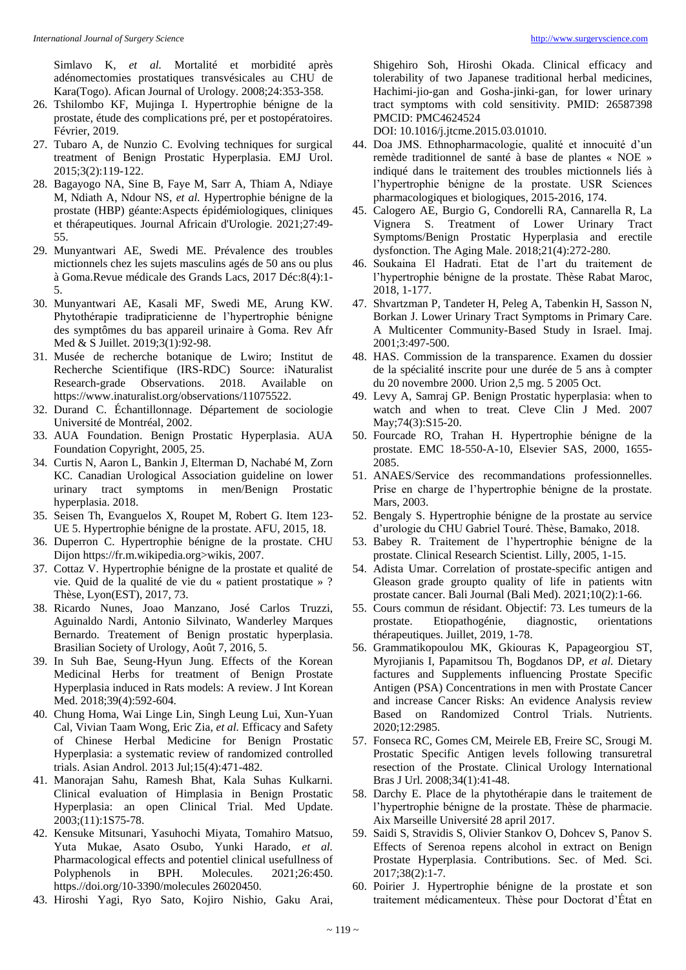Simlavo K, *et al.* Mortalité et morbidité après adénomectomies prostatiques transvésicales au CHU de Kara(Togo). Afican Journal of Urology. 2008;24:353-358.

- 26. Tshilombo KF, Mujinga I. Hypertrophie bénigne de la prostate, étude des complications pré, per et postopératoires. Février, 2019.
- 27. Tubaro A, de Nunzio C. Evolving techniques for surgical treatment of Benign Prostatic Hyperplasia. EMJ Urol. 2015;3(2):119-122.
- 28. Bagayogo NA, Sine B, Faye M, Sarr A, Thiam A, Ndiaye M, Ndiath A, Ndour NS, *et al.* Hypertrophie bénigne de la prostate (HBP) géante:Aspects épidémiologiques, cliniques et thérapeutiques. Journal Africain d'Urologie. 2021;27:49- 55.
- 29. Munyantwari AE, Swedi ME. Prévalence des troubles mictionnels chez les sujets masculins agés de 50 ans ou plus à Goma.Revue médicale des Grands Lacs, 2017 Déc:8(4):1- 5.
- 30. Munyantwari AE, Kasali MF, Swedi ME, Arung KW. Phytothérapie tradipraticienne de l'hypertrophie bénigne des symptômes du bas appareil urinaire à Goma. Rev Afr Med & S Juillet. 2019;3(1):92-98.
- 31. Musée de recherche botanique de Lwiro; Institut de Recherche Scientifique (IRS-RDC) Source: iNaturalist Research-grade Observations. 2018. Available on https://www.inaturalist.org/observations/11075522.
- 32. Durand C. Échantillonnage. Département de sociologie Université de Montréal, 2002.
- 33. AUA Foundation. Benign Prostatic Hyperplasia. AUA Foundation Copyright, 2005, 25.
- 34. Curtis N, Aaron L, Bankin J, Elterman D, Nachabé M, Zorn KC. Canadian Urological Association guideline on lower urinary tract symptoms in men/Benign Prostatic hyperplasia. 2018.
- 35. Seisen Th, Evanguelos X, Roupet M, Robert G. Item 123- UE 5. Hypertrophie bénigne de la prostate. AFU, 2015, 18.
- 36. Duperron C. Hypertrophie bénigne de la prostate. CHU Dijon https://fr.m.wikipedia.org>wikis, 2007.
- 37. Cottaz V. Hypertrophie bénigne de la prostate et qualité de vie. Quid de la qualité de vie du « patient prostatique » ? Thèse, Lyon(EST), 2017, 73.
- 38. Ricardo Nunes, Joao Manzano, José Carlos Truzzi, Aguinaldo Nardi, Antonio Silvinato, Wanderley Marques Bernardo. Treatement of Benign prostatic hyperplasia. Brasilian Society of Urology, Août 7, 2016, 5.
- 39. In Suh Bae, Seung-Hyun Jung. Effects of the Korean Medicinal Herbs for treatment of Benign Prostate Hyperplasia induced in Rats models: A review. J Int Korean Med. 2018;39(4):592-604.
- 40. Chung Homa, Wai Linge Lin, Singh Leung Lui, Xun-Yuan Cal, Vivian Taam Wong, Eric Zia, *et al.* Efficacy and Safety of Chinese Herbal Medicine for Benign Prostatic Hyperplasia: a systematic review of randomized controlled trials. Asian Androl. 2013 Jul;15(4):471-482.
- 41. Manorajan Sahu, Ramesh Bhat, Kala Suhas Kulkarni. Clinical evaluation of Himplasia in Benign Prostatic Hyperplasia: an open Clinical Trial. Med Update. 2003;(11):1S75-78.
- 42. Kensuke Mitsunari, Yasuhochi Miyata, Tomahiro Matsuo, Yuta Mukae, Asato Osubo, Yunki Harado, *et al.* Pharmacological effects and potentiel clinical usefullness of Polyphenols in BPH. Molecules. 2021;26:450. https.//doi.org/10-3390/molecules 26020450.
- 43. Hiroshi Yagi, Ryo Sato, Kojiro Nishio, Gaku Arai,

Shigehiro Soh, Hiroshi Okada. Clinical efficacy and tolerability of two Japanese traditional herbal medicines, Hachimi-jio-gan and Gosha-jinki-gan, for lower urinary tract symptoms with cold sensitivity. PMID: 26587398 PMCID: PMC4624524

DOI: 10.1016/j.jtcme.2015.03.01010.

- 44. Doa JMS. Ethnopharmacologie, qualité et innocuité d'un remède traditionnel de santé à base de plantes « NOE » indiqué dans le traitement des troubles mictionnels liés à l'hypertrophie bénigne de la prostate. USR Sciences pharmacologiques et biologiques, 2015-2016, 174.
- 45. Calogero AE, Burgio G, Condorelli RA, Cannarella R, La Vignera S. Treatment of Lower Urinary Tract Symptoms/Benign Prostatic Hyperplasia and erectile dysfonction. The Aging Male. 2018;21(4):272-280.
- 46. Soukaina El Hadrati. Etat de l'art du traitement de l'hypertrophie bénigne de la prostate. Thèse Rabat Maroc, 2018, 1-177.
- 47. Shvartzman P, Tandeter H, Peleg A, Tabenkin H, Sasson N, Borkan J. Lower Urinary Tract Symptoms in Primary Care. A Multicenter Community-Based Study in Israel. Imaj. 2001;3:497-500.
- 48. HAS. Commission de la transparence. Examen du dossier de la spécialité inscrite pour une durée de 5 ans à compter du 20 novembre 2000. Urion 2,5 mg. 5 2005 Oct.
- 49. Levy A, Samraj GP. Benign Prostatic hyperplasia: when to watch and when to treat. Cleve Clin J Med. 2007 May;74(3):S15-20.
- 50. Fourcade RO, Trahan H. Hypertrophie bénigne de la prostate. EMC 18-550-A-10, Elsevier SAS, 2000, 1655- 2085.
- 51. ANAES/Service des recommandations professionnelles. Prise en charge de l'hypertrophie bénigne de la prostate. Mars, 2003.
- 52. Bengaly S. Hypertrophie bénigne de la prostate au service d'urologie du CHU Gabriel Touré. Thèse, Bamako, 2018.
- 53. Babey R. Traitement de l'hypertrophie bénigne de la prostate. Clinical Research Scientist. Lilly, 2005, 1-15.
- 54. Adista Umar. Correlation of prostate-specific antigen and Gleason grade groupto quality of life in patients witn prostate cancer. Bali Journal (Bali Med). 2021;10(2):1-66.
- 55. Cours commun de résidant. Objectif: 73. Les tumeurs de la prostate. Etiopathogénie, diagnostic, orientations thérapeutiques. Juillet, 2019, 1-78.
- 56. Grammatikopoulou MK, Gkiouras K, Papageorgiou ST, Myrojianis I, Papamitsou Th, Bogdanos DP, *et al.* Dietary factures and Supplements influencing Prostate Specific Antigen (PSA) Concentrations in men with Prostate Cancer and increase Cancer Risks: An evidence Analysis review Based on Randomized Control Trials. Nutrients. 2020;12:2985.
- 57. Fonseca RC, Gomes CM, Meirele EB, Freire SC, Srougi M. Prostatic Specific Antigen levels following transuretral resection of the Prostate. Clinical Urology International Bras J Url. 2008;34(1):41-48.
- 58. Darchy E. Place de la phytothérapie dans le traitement de l'hypertrophie bénigne de la prostate. Thèse de pharmacie. Aix Marseille Université 28 april 2017.
- 59. Saidi S, Stravidis S, Olivier Stankov O, Dohcev S, Panov S. Effects of Serenoa repens alcohol in extract on Benign Prostate Hyperplasia. Contributions. Sec. of Med. Sci. 2017;38(2):1-7.
- 60. Poirier J. Hypertrophie bénigne de la prostate et son traitement médicamenteux. Thèse pour Doctorat d'État en